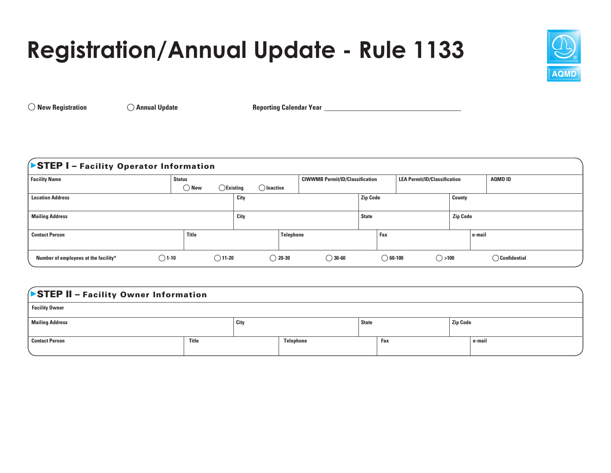## **Registration/Annual Update - Rule 1133**



 $\bigcirc$  New Registration  $\bigcirc$  Annual Update Reporting Calendar Year **Annual Strutter Annual Strutter Reporting Calendar Year** 

## **STEP I** - Facility Operator Information

| <b>Facility Name</b>                                    | <b>Status</b>    |                                       |                                      | <b>LEA Permit/ID/Classification</b><br><b>CIWWMB Permit/ID/Classification</b> |                                      |        | AQMD ID                 |
|---------------------------------------------------------|------------------|---------------------------------------|--------------------------------------|-------------------------------------------------------------------------------|--------------------------------------|--------|-------------------------|
|                                                         | ) New            | $\bigcap$ Inactive<br>$\sum$ Existing |                                      |                                                                               |                                      |        |                         |
| <b>Location Address</b>                                 | City             |                                       | <b>Zip Code</b>                      |                                                                               | County                               |        |                         |
|                                                         |                  |                                       |                                      |                                                                               |                                      |        |                         |
| <b>Mailing Address</b>                                  | City             |                                       | <b>State</b>                         |                                                                               | <b>Zip Code</b>                      |        |                         |
|                                                         |                  |                                       |                                      |                                                                               |                                      |        |                         |
| <b>Contact Person</b>                                   | <b>Title</b>     |                                       | Telephone                            | Fax                                                                           |                                      | e-mail |                         |
|                                                         |                  |                                       |                                      |                                                                               |                                      |        |                         |
| $\bigcirc$ 1-10<br>Number of employees at the facility* | $\bigcirc$ 11-20 |                                       | $\bigcirc$ 20-30<br>$\bigcirc$ 30-60 |                                                                               | $\bigcirc$ >100<br>$\bigcirc$ 60-100 |        | $\bigcirc$ Confidential |

## STEP II - Facility Owner Information

| <b>Facility Owner</b>  |       |      |           |              |     |                 |           |
|------------------------|-------|------|-----------|--------------|-----|-----------------|-----------|
| <b>Mailing Address</b> |       | City |           | <b>State</b> |     | <b>Zip Code</b> |           |
| <b>Contact Person</b>  | Title |      | Telephone |              | Fax |                 | $e$ -mail |